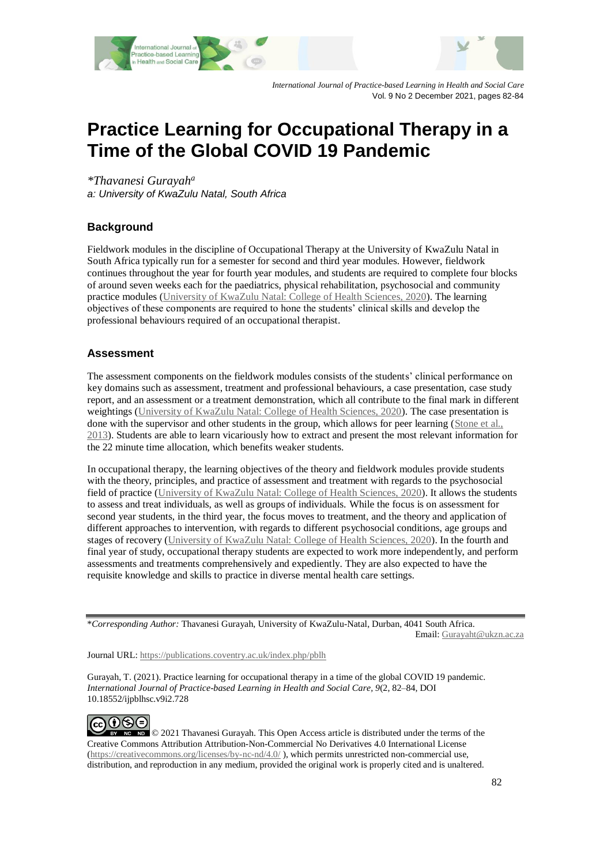



*International Journal of Practice-based Learning in Health and Social Care* Vol. 9 No 2 December 2021, pages 82-84

# **Practice Learning for Occupational Therapy in a Time of the Global COVID 19 Pandemic**

*\*Thavanesi Gurayah<sup>a</sup> a: University of KwaZulu Natal, South Africa*

### **Background**

Fieldwork modules in the discipline of Occupational Therapy at the University of KwaZulu Natal in South Africa typically run for a semester for second and third year modules. However, fieldwork continues throughout the year for fourth year modules, and students are required to complete four blocks of around seven weeks each for the paediatrics, physical rehabilitation, psychosocial and community practice modules [\(University of KwaZulu Natal: College of Health Sciences, 2020\)](#page-2-0). The learning objectives of these components are required to hone the students' clinical skills and develop the professional behaviours required of an occupational therapist.

#### **Assessment**

The assessment components on the fieldwork modules consists of the students' clinical performance on key domains such as assessment, treatment and professional behaviours, a case presentation, case study report, and an assessment or a treatment demonstration, which all contribute to the final mark in different weightings [\(University of KwaZulu Natal: College of Health Sciences, 2020\)](#page-2-0). The case presentation is done with the supervisor and other students in the group, which allows for peer learning [\(Stone et al.,](#page-2-1)  [2013\)](#page-2-1). Students are able to learn vicariously how to extract and present the most relevant information for the 22 minute time allocation, which benefits weaker students.

In occupational therapy, the learning objectives of the theory and fieldwork modules provide students with the theory, principles, and practice of assessment and treatment with regards to the psychosocial field of practice [\(University of KwaZulu Natal: College of Health Sciences, 2020\)](#page-2-0). It allows the students to assess and treat individuals, as well as groups of individuals. While the focus is on assessment for second year students, in the third year, the focus moves to treatment, and the theory and application of different approaches to intervention, with regards to different psychosocial conditions, age groups and stages of recovery [\(University of KwaZulu Natal: College of Health Sciences, 2020\)](#page-2-0). In the fourth and final year of study, occupational therapy students are expected to work more independently, and perform assessments and treatments comprehensively and expediently. They are also expected to have the requisite knowledge and skills to practice in diverse mental health care settings.

\**Corresponding Author:* Thavanesi Gurayah, University of KwaZulu-Natal, Durban, 4041 South Africa.

Email: [Gurayaht@ukzn.ac.za](mailto:Gurayaht@ukzn.ac.za)

Journal URL: https://publications.coventry.ac.uk/index.php/pblh

Gurayah, T. (2021). Practice learning for occupational therapy in a time of the global COVID 19 pandemic. *International Journal of Practice-based Learning in Health and Social Care, 9*(2, 82–84, DOI 10.18552/ijpblhsc.v9i2.728

⊕ெ (cc

 $\bullet$   $\bullet$   $\bullet$   $\bullet$   $\bullet$   $\bullet$  2021 Thavanesi Gurayah. This Open Access article is distributed under the terms of the Creative Commons Attribution Attribution-Non-Commercial No Derivatives 4.0 International License [\(https://creativecommons.org/licenses/by-nc-nd/4.0/](https://creativecommons.org/licenses/by-nc-nd/4.0/) ), which permits unrestricted non-commercial use, distribution, and reproduction in any medium, provided the original work is properly cited and is unaltered.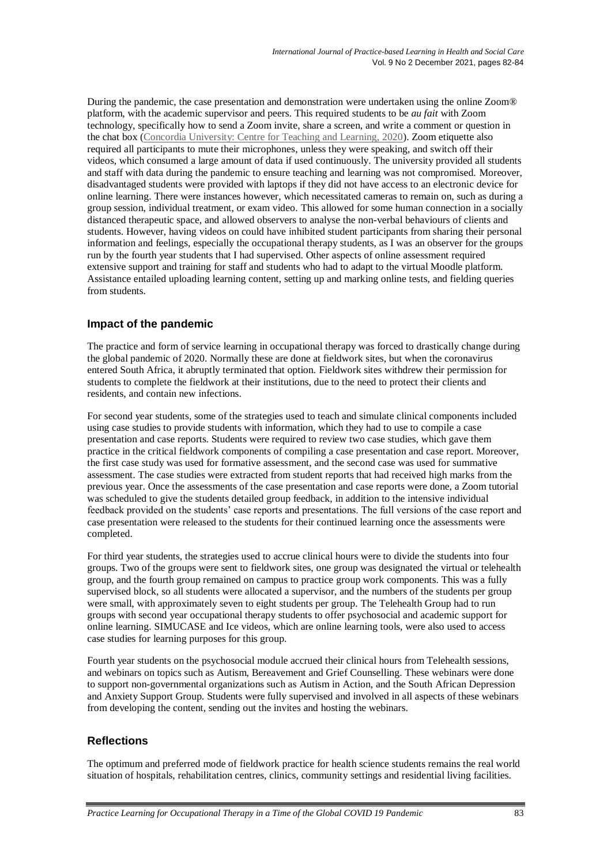During the pandemic, the case presentation and demonstration were undertaken using the online Zoom® platform, with the academic supervisor and peers. This required students to be *au fait* with Zoom technology, specifically how to send a Zoom invite, share a screen, and write a comment or question in the chat box [\(Concordia University: Centre for Teaching and Learning, 2020\)](#page-2-2). Zoom etiquette also required all participants to mute their microphones, unless they were speaking, and switch off their videos, which consumed a large amount of data if used continuously. The university provided all students and staff with data during the pandemic to ensure teaching and learning was not compromised. Moreover, disadvantaged students were provided with laptops if they did not have access to an electronic device for online learning. There were instances however, which necessitated cameras to remain on, such as during a group session, individual treatment, or exam video. This allowed for some human connection in a socially distanced therapeutic space, and allowed observers to analyse the non-verbal behaviours of clients and students. However, having videos on could have inhibited student participants from sharing their personal information and feelings, especially the occupational therapy students, as I was an observer for the groups run by the fourth year students that I had supervised. Other aspects of online assessment required extensive support and training for staff and students who had to adapt to the virtual Moodle platform. Assistance entailed uploading learning content, setting up and marking online tests, and fielding queries from students.

# **Impact of the pandemic**

The practice and form of service learning in occupational therapy was forced to drastically change during the global pandemic of 2020. Normally these are done at fieldwork sites, but when the coronavirus entered South Africa, it abruptly terminated that option. Fieldwork sites withdrew their permission for students to complete the fieldwork at their institutions, due to the need to protect their clients and residents, and contain new infections.

For second year students, some of the strategies used to teach and simulate clinical components included using case studies to provide students with information, which they had to use to compile a case presentation and case reports. Students were required to review two case studies, which gave them practice in the critical fieldwork components of compiling a case presentation and case report. Moreover, the first case study was used for formative assessment, and the second case was used for summative assessment. The case studies were extracted from student reports that had received high marks from the previous year. Once the assessments of the case presentation and case reports were done, a Zoom tutorial was scheduled to give the students detailed group feedback, in addition to the intensive individual feedback provided on the students' case reports and presentations. The full versions of the case report and case presentation were released to the students for their continued learning once the assessments were completed.

For third year students, the strategies used to accrue clinical hours were to divide the students into four groups. Two of the groups were sent to fieldwork sites, one group was designated the virtual or telehealth group, and the fourth group remained on campus to practice group work components. This was a fully supervised block, so all students were allocated a supervisor, and the numbers of the students per group were small, with approximately seven to eight students per group. The Telehealth Group had to run groups with second year occupational therapy students to offer psychosocial and academic support for online learning. SIMUCASE and Ice videos, which are online learning tools, were also used to access case studies for learning purposes for this group.

Fourth year students on the psychosocial module accrued their clinical hours from Telehealth sessions, and webinars on topics such as Autism, Bereavement and Grief Counselling. These webinars were done to support non-governmental organizations such as Autism in Action, and the South African Depression and Anxiety Support Group. Students were fully supervised and involved in all aspects of these webinars from developing the content, sending out the invites and hosting the webinars.

### **Reflections**

The optimum and preferred mode of fieldwork practice for health science students remains the real world situation of hospitals, rehabilitation centres, clinics, community settings and residential living facilities.